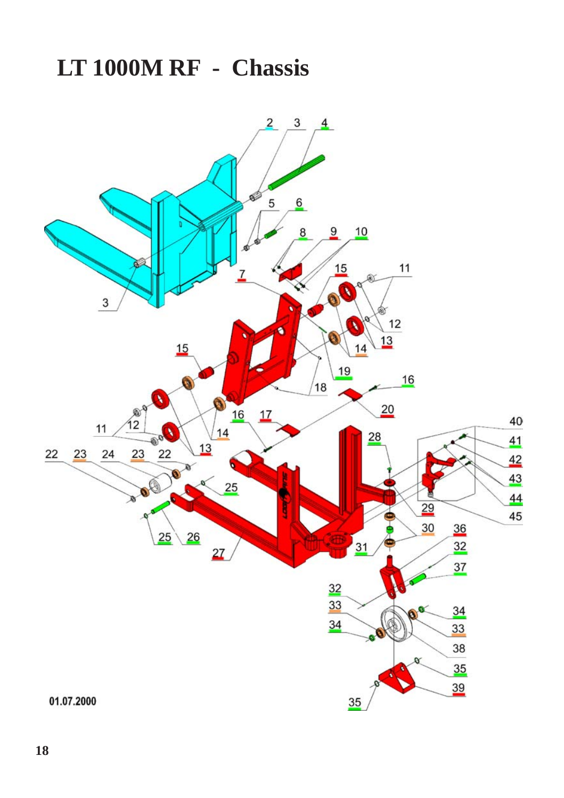## **LT 1000M RF - Chassis**

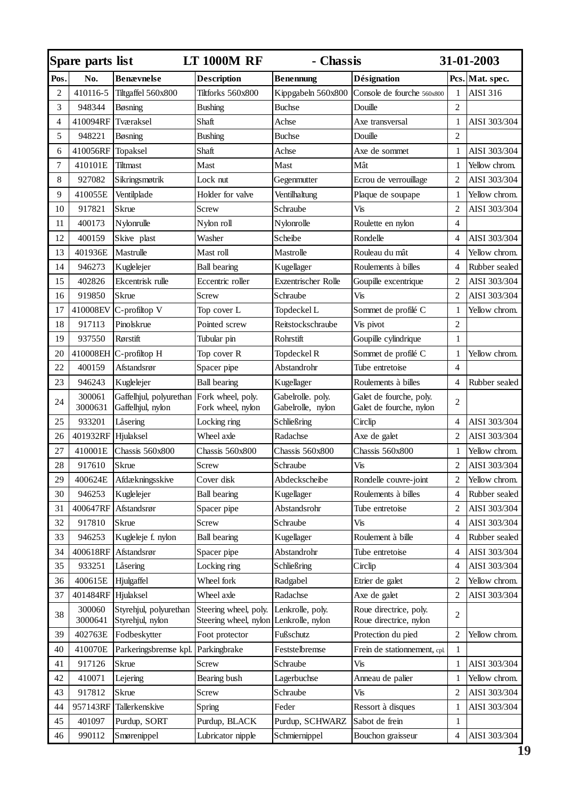| Spare parts list |                   |                                              | LT 1000M RF                                                     | - Chassis                              |                                                    | 31-01-2003     |                 |
|------------------|-------------------|----------------------------------------------|-----------------------------------------------------------------|----------------------------------------|----------------------------------------------------|----------------|-----------------|
| Pos              | No.               | <b>Benævnelse</b>                            | Description                                                     | <b>Benennung</b>                       | Désignation                                        |                | Pcs. Mat. spec. |
| $\overline{c}$   | 410116-5          | Tiltgaffel 560x800                           | Tiltforks 560x800                                               | Kippgabeln 560x800                     | Console de fourche 560x800                         | 1              | AISI 316        |
| 3                | 948344            | Bøsning                                      | <b>Bushing</b>                                                  | Buchse                                 | Douille                                            | $\overline{c}$ |                 |
| 4                | 410094RF          | Tværaksel                                    | Shaft                                                           | Achse                                  | Axe transversal                                    | $\mathbf{1}$   | AISI 303/304    |
| 5                | 948221            | Bøsning                                      | <b>Bushing</b>                                                  | <b>Buchse</b>                          | Douille                                            | $\overline{2}$ |                 |
| 6                | 410056RF          | Topaksel                                     | Shaft                                                           | Achse                                  | Axe de sommet                                      | $\mathbf{1}$   | AISI 303/304    |
| 7                | 410101E           | Tiltmast                                     | Mast                                                            | Mast                                   | Mât                                                | $\mathbf{1}$   | Yellow chrom.   |
| 8                | 927082            | Sikringsmøtrik                               | Lock nut                                                        | Gegenmutter                            | Ecrou de verrouillage                              | $\overline{c}$ | AISI 303/304    |
| 9                | 410055E           | Ventilplade                                  | Holder for valve                                                | Ventilhaltung                          | Plaque de soupape                                  | $\mathbf{1}$   | Yellow chrom.   |
| 10               | 917821            | Skrue                                        | Screw                                                           | Schraube                               | Vis                                                | $\overline{c}$ | AISI 303/304    |
| 11               | 400173            | Nylonrulle                                   | Nylon roll                                                      | Nylonrolle                             | Roulette en nylon                                  | $\overline{4}$ |                 |
| 12               | 400159            | Skive plast                                  | Washer                                                          | Scheibe                                | Rondelle                                           | $\overline{4}$ | AISI 303/304    |
| 13               | 401936E           | Mastrulle                                    | Mast roll                                                       | Mastrolle                              | Rouleau du mât                                     | $\overline{4}$ | Yellow chrom.   |
| 14               | 946273            | Kuglelejer                                   | <b>Ball bearing</b>                                             | Kugellager                             | Roulements à billes                                | $\overline{4}$ | Rubber sealed   |
| 15               | 402826            | Ekcentrisk rulle                             | Eccentric roller                                                | Exzentrischer Rolle                    | Goupille excentrique                               | $\overline{c}$ | AISI 303/304    |
| 16               | 919850            | Skrue                                        | Screw                                                           | Schraube                               | Vis                                                | $\overline{c}$ | AISI 303/304    |
| 17               | 410008EV          | C-profiltop V                                | Top cover L                                                     | Topdeckel L                            | Sommet de profilé C                                | $\mathbf{1}$   | Yellow chrom.   |
| 18               | 917113            | Pinolskrue                                   | Pointed screw                                                   | Reitstockschraube                      | Vis pivot                                          | $\overline{2}$ |                 |
| 19               | 937550            | Rørstift                                     | Tubular pin                                                     | Rohrstift                              | Goupille cylindrique                               | $\mathbf{1}$   |                 |
| 20               |                   | 410008EH C-profiltop H                       | Top cover R                                                     | Topdeckel R                            | Sommet de profilé C                                | $\mathbf{1}$   | Yellow chrom.   |
| 22               | 400159            | Afstandsrør                                  | Spacer pipe                                                     | Abstandrohr                            | Tube entretoise                                    | $\overline{4}$ |                 |
| 23               | 946243            | Kuglelejer                                   | <b>Ball bearing</b>                                             | Kugellager                             | Roulements à billes                                | 4              | Rubber sealed   |
| 24               | 300061<br>3000631 | Gaffelhjul, polyurethan<br>Gaffelhjul, nylon | Fork wheel, poly.<br>Fork wheel, nylon                          | Gabelrolle. poly.<br>Gabelrolle, nylon | Galet de fourche, poly.<br>Galet de fourche, nylon | $\overline{c}$ |                 |
| 25               | 933201            | Låsering                                     | Locking ring                                                    | Schließring                            | Circlip                                            | $\overline{4}$ | AISI 303/304    |
| 26               | 401932RF          | Hjulaksel                                    | Wheel axle                                                      | Radachse                               | Axe de galet                                       | $\overline{2}$ | AISI 303/304    |
| 27               | 410001E           | Chassis 560x800                              | Chassis 560x800                                                 | Chassis 560x800                        | Chassis 560x800                                    | $\mathbf{1}$   | Yellow chrom.   |
| 28               | 917610            | Skrue                                        | Screw                                                           | Schraube                               | Vis                                                | $\overline{2}$ | AISI 303/304    |
| 29               | 400624E           | Afdækningsskive                              | Cover disk                                                      | Abdeckscheibe                          | Rondelle couvre-joint                              | $\overline{c}$ | Yellow chrom.   |
| 30               | 946253            | Kuglelejer                                   | <b>Ball bearing</b>                                             | Kugellager                             | Roulements à billes                                | $\overline{4}$ | Rubber sealed   |
| 31               | 400647RF          | Afstandsrør                                  | Spacer pipe                                                     | Abstandsrohr                           | Tube entretoise                                    | $\overline{c}$ | AISI 303/304    |
| 32               | 917810            | Skrue                                        | Screw                                                           | Schraube                               | Vis                                                | $\overline{4}$ | AISI 303/304    |
| 33               | 946253            | Kugleleje f. nylon                           | <b>Ball bearing</b>                                             | Kugellager                             | Roulement à bille                                  | $\overline{4}$ | Rubber sealed   |
| 34               | 400618RF          | Afstandsrør                                  | Spacer pipe                                                     | Abstandrohr                            | Tube entretoise                                    | $\overline{4}$ | AISI 303/304    |
| 35               | 933251            | Låsering                                     | Locking ring                                                    | Schließring                            | Circlip                                            | $\overline{4}$ | AISI 303/304    |
| 36               | 400615E           | Hjulgaffel                                   | Wheel fork                                                      | Radgabel                               | Etrier de galet                                    | $\overline{c}$ | Yellow chrom.   |
| 37               | 401484RF          | Hjulaksel                                    | Wheel axle                                                      | Radachse                               | Axe de galet                                       | $\overline{2}$ | AISI 303/304    |
| 38               | 300060<br>3000641 | Styrehjul, polyurethan<br>Styrehjul, nylon   | Steering wheel, poly.<br>Steering wheel, nylon Lenkrolle, nylon | Lenkrolle, poly.                       | Roue directrice, poly.<br>Roue directrice, nylon   | $\overline{c}$ |                 |
| 39               | 402763E           | Fodbeskytter                                 | Foot protector                                                  | Fußschutz                              | Protection du pied                                 | $\overline{2}$ | Yellow chrom.   |
| 40               | 410070E           | Parkeringsbremse kpl.                        | Parkingbrake                                                    | Feststelbremse                         | Frein de stationnement, cpl                        | $\mathbf{1}$   |                 |
| 41               | 917126            | Skrue                                        | Screw                                                           | Schraube                               | Vis                                                | $\mathbf{1}$   | AISI 303/304    |
| 42               | 410071            | Lejering                                     | Bearing bush                                                    | Lagerbuchse                            | Anneau de palier                                   | $\mathbf{1}$   | Yellow chrom.   |
| 43               | 917812            | Skrue                                        | Screw                                                           | Schraube                               | Vis                                                | $\overline{c}$ | AISI 303/304    |
| 44               | 957143RF          | Tallerkenskive                               | Spring                                                          | Feder                                  | Ressort à disques                                  | $\mathbf{1}$   | AISI 303/304    |
| 45               | 401097            | Purdup, SORT                                 | Purdup, BLACK                                                   | Purdup, SCHWARZ                        | Sabot de frein                                     | 1              |                 |
| 46               | 990112            | Smørenippel                                  | Lubricator nipple                                               | Schmiernippel                          | Bouchon graisseur                                  | $\overline{4}$ | AISI 303/304    |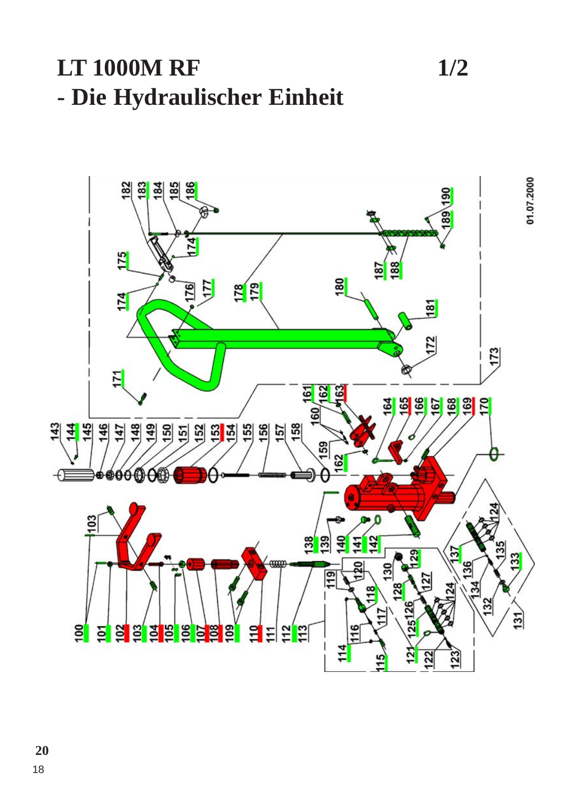## **LT 1000M RF** 1/2 **- Die Hydraulischer Einheit**

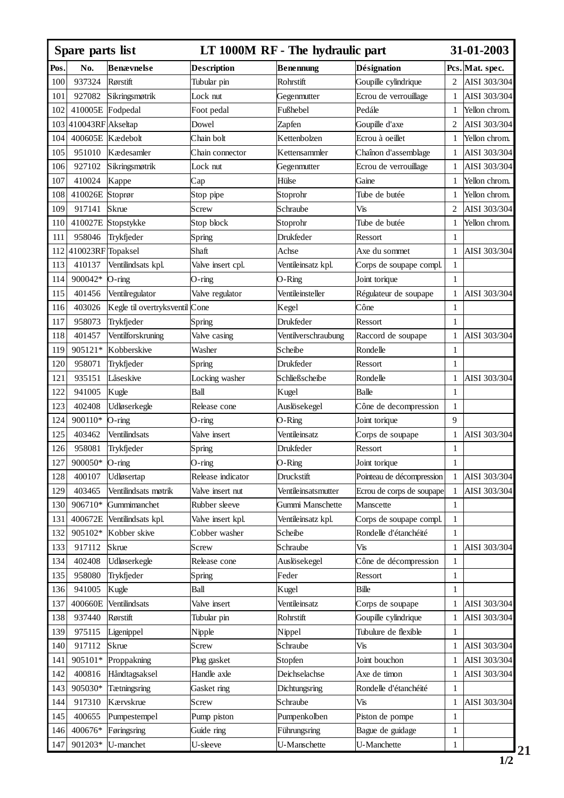| Spare parts list |                   |                                    |                    | LT 1000M RF - The hydraulic part |                           |                              | 31-01-2003      |  |
|------------------|-------------------|------------------------------------|--------------------|----------------------------------|---------------------------|------------------------------|-----------------|--|
| Pos.             | No.               | Benævnelse                         | <b>Description</b> | <b>Benennung</b>                 | Désignation               |                              | Pcs. Mat. spec. |  |
| 100              | 937324            | Rørstift                           | Tubular pin        | Rohrstift                        | Goupille cylindrique      | 2                            | AISI 303/304    |  |
| 101              | 927082            | Sikringsmøtrik                     | Lock nut           | Gegenmutter                      | Ecrou de verrouillage     | 1                            | AISI 303/304    |  |
| 102              | 410005E           | Fodpedal                           | Foot pedal         | Fußhebel                         | Pedále                    | 1                            | Yellon chrom.   |  |
| 103              | 410043RF Akseltap |                                    | Dowel              | Zapfen                           | Goupille d'axe            | 2                            | AISI 303/304    |  |
| 104              | 400605E           | Kædebolt                           | Chain bolt         | Kettenbolzen                     | Ecrou à oeillet           | 1                            | Yellon chrom.   |  |
| 105              | 951010            | Kædesamler                         | Chain connector    | Kettensammler                    | Chaînon d'assemblage      | 1                            | AISI 303/304    |  |
| 106              | 927102            | Sikringsmøtrik                     | Lock nut           | Gegenmutter                      | Ecrou de verrouillage     | 1                            | AISI 303/304    |  |
| 107              | 410024            | Kappe                              | Cap                | Hülse                            | Gaine                     | 1                            | Yellon chrom.   |  |
| 108              | 410026E           | Stoprør                            | Stop pipe          | Stoprohr                         | Tube de butée             | 1                            | Yellon chrom.   |  |
| 109              | 917141            | Skrue                              | Screw              | Schraube                         | Vis                       | 2                            | AISI 303/304    |  |
| 110              | 410027E           | Stopstykke                         | Stop block         | Stoprohr                         | Tube de butée             | $\mathbf{1}$                 | Yellon chrom.   |  |
| 111              | 958046            | Trykfjeder                         | Spring             | Drukfeder                        | Ressort                   | 1                            |                 |  |
| 112              | 410023RF Topaksel |                                    | Shaft              | Achse                            | Axe du sommet             | 1                            | AISI 303/304    |  |
| 113              | 410137            | Ventilindsats kpl.                 | Valve insert cpl.  | Ventileinsatz kpl.               | Corps de soupape compl.   | 1                            |                 |  |
| 114              | 900042*           | O-ring                             | O-ring             | O-Ring                           | Joint torique             | 1                            |                 |  |
| 115              | 401456            | Ventilregulator                    | Valve regulator    | Ventileinsteller                 | Régulateur de soupape     | 1                            | AISI 303/304    |  |
| 116              | 403026            | Kegle til overtryksventil          | Cone               | Kegel                            | Cône                      | $\mathbf{1}$                 |                 |  |
| 117              | 958073            | Trykfjeder                         | Spring             | Drukfeder                        | Ressort                   | 1                            |                 |  |
| 118              | 401457            | Ventilforskruning                  | Valve casing       | Ventilverschraubung              | Raccord de soupape        | $\mathbf{1}$                 | AISI 303/304    |  |
| 119              | 905121*           | Kobberskive                        | Washer             | Scheibe                          | Rondelle                  | $\mathbf{1}$                 |                 |  |
| 120              | 958071            | Trykfjeder                         | Spring             | Drukfeder                        | Ressort                   | $\mathbf{1}$                 |                 |  |
| 121              | 935151            | Låseskive                          | Locking washer     | Schließscheibe                   | Rondelle                  | 1                            | AISI 303/304    |  |
| 122              | 941005            | Kugle                              | Ball               | Kugel                            | Balle                     | $\mathbf{1}$                 |                 |  |
| 123              | 402408            | Udløserkegle                       | Release cone       | Auslösekegel                     | Cône de decompression     | 1                            |                 |  |
| 124              | 900110*           | O-ring                             | O-ring             | O-Ring                           | Joint torique             | 9                            |                 |  |
| 125              | 403462            | Ventilindsats                      | Valve insert       | Ventileinsatz                    | Corps de soupape          | 1                            | AISI 303/304    |  |
| 126              | 958081            | Trykfjeder                         | Spring             | Drukfeder                        | Ressort                   | $\mathbf{1}$                 |                 |  |
| 127              | 900050*           |                                    | O-ring             | O-Ring                           | Joint torique             | $\mathbf{1}$                 |                 |  |
| 128              | 400107            | O-ring                             |                    | Druckstift                       |                           | 1                            | AISI 303/304    |  |
| 129              | 403465            | Udløsertap<br>Ventilindsats møtrik | Release indicator  |                                  | Pointeau de décompression | 1                            | AISI 303/304    |  |
|                  | 906710*           |                                    | Valve insert nut   | Ventileinsatsmutter              | Ecrou de corps de soupape | $\mathbf{1}$                 |                 |  |
| 130              |                   | Gummimanchet                       | Rubber sleeve      | Gummi Manschette                 | Manscette                 |                              |                 |  |
| 131              | 400672E           | Ventilindsats kpl.                 | Valve insert kpl.  | Ventileinsatz kpl.               | Corps de soupape compl.   | $\mathbf{1}$<br>$\mathbf{1}$ |                 |  |
| 132              | 905102*           | Kobber skive                       | Cobber washer      | Scheibe                          | Rondelle d'étanchéité     |                              |                 |  |
| 133              | 917112            | Skrue                              | Screw              | Schraube                         | Vis                       | $\mathbf{1}$                 | AISI 303/304    |  |
| 134              | 402408            | Udløserkegle                       | Release cone       | Auslösekegel                     | Cône de décompression     | 1                            |                 |  |
| 135              | 958080            | Trykfjeder                         | Spring             | Feder                            | Ressort                   | $\mathbf{1}$                 |                 |  |
| 136              | 941005            | Kugle                              | Ball               | Kugel                            | Bille                     | $\mathbf{1}$                 |                 |  |
| 137              | 400660E           | Ventilindsats                      | Valve insert       | Ventileinsatz                    | Corps de soupape          | $\mathbf{1}$                 | AISI 303/304    |  |
| 138              | 937440            | Rørstift                           | Tubular pin        | Rohrstift                        | Goupille cylindrique      | 1                            | AISI 303/304    |  |
| 139              | 975115            | Ligenippel                         | Nipple             | Nippel                           | Tubulure de flexible      | $\mathbf{1}$                 |                 |  |
| 140              | 917112            | Skrue                              | Screw              | Schraube                         | Vis                       | $\mathbf{1}$                 | AISI 303/304    |  |
| 141              | 905101*           | Proppakning                        | Plug gasket        | Stopfen                          | Joint bouchon             | 1                            | AISI 303/304    |  |
| 142              | 400816            | Håndtagsaksel                      | Handle axle        | Deichselachse                    | Axe de timon              | $\mathbf{1}$                 | AISI 303/304    |  |
| 143              | 905030*           | Tætningsring                       | Gasket ring        | Dichtungsring                    | Rondelle d'étanchéité     | $\mathbf{1}$                 |                 |  |
| 144              | 917310            | Kærvskrue                          | Screw              | Schraube                         | Vis                       | $\mathbf{1}$                 | AISI 303/304    |  |
| 145              | 400655            | Pumpestempel                       | Pump piston        | Pumpenkolben                     | Piston de pompe           | 1                            |                 |  |
| 146              | 400676*           | Føringsring                        | Guide ring         | Führungsring                     | Bague de guidage          | $\mathbf{1}$                 |                 |  |
| 147              | 901203*           | U-manchet                          | U-sleeve           | U-Manschette                     | U-Manchette               | $\mathbf{1}$                 |                 |  |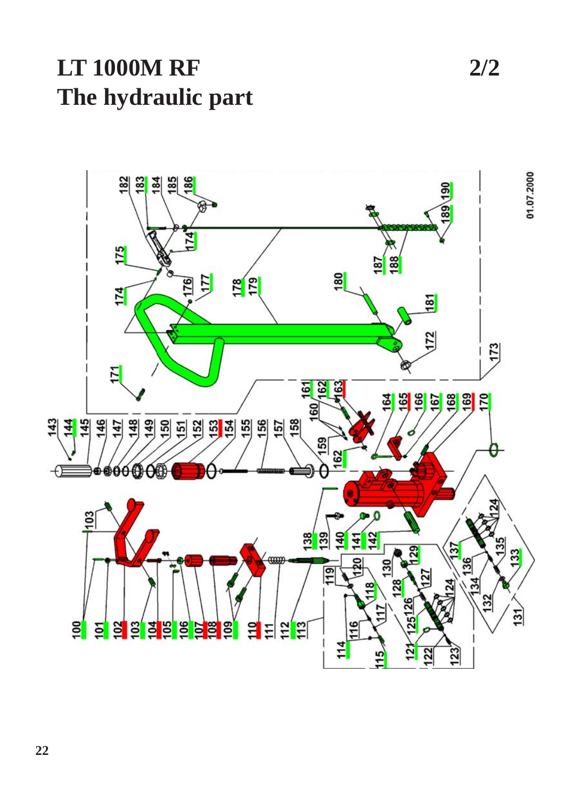**LT 1000M RF 2/2 The hydraulic part**

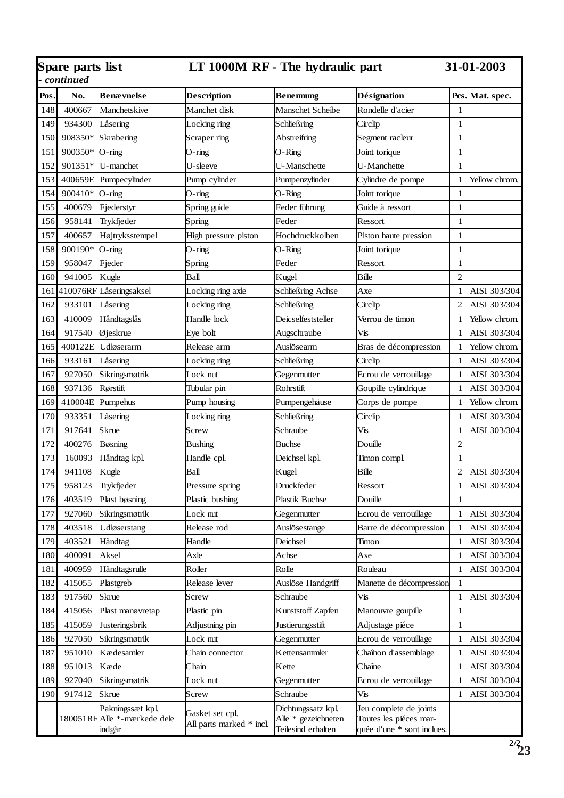| Spare parts list<br>continued |          |                                                   | LT 1000M RF - The hydraulic part            |                                                                 |                                                                                | 31-01-2003     |               |
|-------------------------------|----------|---------------------------------------------------|---------------------------------------------|-----------------------------------------------------------------|--------------------------------------------------------------------------------|----------------|---------------|
| Pos.                          | No.      | Benævnelse                                        | Description                                 | <b>Benennung</b>                                                | <b>Désignation</b>                                                             | Pcs.           | Mat. spec.    |
| 148                           | 400667   | Manchetskive                                      | Manchet disk                                | Manschet Scheibe                                                | Rondelle d'acier                                                               | $\mathbf{1}$   |               |
| 149                           | 934300   | Låsering                                          | Locking ring                                | Schließring                                                     | Circlip                                                                        | $\mathbf{1}$   |               |
| 150                           | 908350*  | Skrabering                                        | Scraper ring                                | Abstreifring                                                    | Segment racleur                                                                | $\mathbf{1}$   |               |
| 151                           | 900350*  | O-ring                                            | O-ring                                      | O-Ring                                                          | Joint torique                                                                  | $\mathbf{1}$   |               |
| 152                           | 901351*  | U-manchet                                         | U-sleeve                                    | U-Manschette                                                    | U-Manchette                                                                    | $\mathbf{1}$   |               |
| 153                           | 400659E  | Pumpecylinder                                     | Pump cylinder                               | Pumpenzylinder                                                  | Cylindre de pompe                                                              | $\mathbf{1}$   | Yellow chrom. |
| 154                           | 900410*  | O-ring                                            | O-ring                                      | O-Ring                                                          | Joint torique                                                                  | $\mathbf 1$    |               |
| 155                           | 400679   | Fjederstyr                                        | Spring guide                                | Feder führung                                                   | Guide à ressort                                                                | $\mathbf{1}$   |               |
| 156                           | 958141   | Trykfjeder                                        | Spring                                      | Feder                                                           | Ressort                                                                        | $\mathbf{1}$   |               |
| 157                           | 400657   | Højtryksstempel                                   | High pressure piston                        | Hochdruckkolben                                                 | Piston haute pression                                                          | $\mathbf{1}$   |               |
| 158                           | 900190*  | O-ring                                            | O-ring                                      | O-Ring                                                          | Joint torique                                                                  | $\mathbf{1}$   |               |
| 159                           | 958047   | Fjeder                                            | Spring                                      | Feder                                                           | Ressort                                                                        | $\mathbf{1}$   |               |
| 160                           | 941005   | Kugle                                             | Ball                                        | Kugel                                                           | Bille                                                                          | $\overline{c}$ |               |
| 161                           | 410076RF | Låseringsaksel                                    | Locking ring axle                           | Schließring Achse                                               | Axe                                                                            | $\mathbf{1}$   | AISI 303/304  |
| 162                           | 933101   | Låsering                                          | Locking ring                                | Schließring                                                     | Circlip                                                                        | $\overline{c}$ | AISI 303/304  |
| 163                           | 410009   | Håndtagslås                                       | Handle lock                                 | Deicselfeststeller                                              | Verrou de timon                                                                | $\mathbf{1}$   | Yellow chrom. |
| 164                           | 917540   | Øjeskrue                                          | Eye bolt                                    | Augschraube                                                     | Vis                                                                            | $\mathbf{1}$   | AISI 303/304  |
| 165                           | 400122E  | Udløserarm                                        | Release arm                                 | Auslösearm                                                      | Bras de décompression                                                          | $\mathbf{1}$   | Yellow chrom. |
| 166                           | 933161   | Låsering                                          | Locking ring                                | Schließring                                                     | Circlip                                                                        | $\mathbf{1}$   | AISI 303/304  |
| 167                           | 927050   | Sikringsmøtrik                                    | Lock nut                                    | Gegenmutter                                                     | Ecrou de verrouillage                                                          | $\mathbf{1}$   | AISI 303/304  |
| 168                           | 937136   | Rørstift                                          | Tubular pin                                 | Rohrstift                                                       | Goupille cylindrique                                                           | $\mathbf{1}$   | AISI 303/304  |
| 169                           | 410004E  | Pumpehus                                          | Pump housing                                | Pumpengehäuse                                                   | Corps de pompe                                                                 | $\mathbf{1}$   | Yellow chrom. |
| 170                           | 933351   | Låsering                                          | Locking ring                                | Schließring                                                     | Circlip                                                                        | $\mathbf{1}$   | AISI 303/304  |
| 171                           | 917641   | Skrue                                             | Screw                                       | Schraube                                                        | Vis                                                                            | $\mathbf{1}$   | AISI 303/304  |
| 172                           | 400276   | Bøsning                                           | <b>Bushing</b>                              | <b>Buchse</b>                                                   | Douille                                                                        | $\overline{c}$ |               |
| 173                           | 160093   | Håndtag kpl.                                      | Handle cpl.                                 | Deichsel kpl.                                                   | Timon compl.                                                                   | $\mathbf{1}$   |               |
| 174                           | 941108   | Kugle                                             | Ball                                        | Kugel                                                           | Bille                                                                          | $\overline{c}$ | AISI 303/304  |
| 175                           | 958123   | Trykfjeder                                        | Pressure spring                             | Druckfeder                                                      | Ressort                                                                        | $\mathbf{1}$   | AISI 303/304  |
| 176                           | 403519   | Plast bøsning                                     | Plastic bushing                             | Plastik Buchse                                                  | Douille                                                                        | $\mathbf{1}$   |               |
| 177                           | 927060   | Sikringsmøtrik                                    | Lock nut                                    | Gegenmutter                                                     | Ecrou de verrouillage                                                          | $\mathbf{1}$   | AISI 303/304  |
| 178                           | 403518   | Udløserstang                                      | Release rod                                 | Auslösestange                                                   | Barre de décompression                                                         | $\mathbf{1}$   | AISI 303/304  |
| 179                           | 403521   | Håndtag                                           | Handle                                      | Deichsel                                                        | Timon                                                                          | $\mathbf{1}$   | AISI 303/304  |
| 180                           | 400091   | Aksel                                             | Axle                                        | Achse                                                           | Axe                                                                            | $\mathbf{1}$   | AISI 303/304  |
| 181                           | 400959   | Håndtagsrulle                                     | Roller                                      | Rolle                                                           | Rouleau                                                                        | $\mathbf{1}$   | AISI 303/304  |
| 182                           | 415055   | Plastgreb                                         | Release lever                               | Auslöse Handgriff                                               | Manette de décompression                                                       | $\mathbf{1}$   |               |
| 183                           | 917560   | Skrue                                             | Screw                                       | Schraube                                                        | Vis                                                                            | $\mathbf{1}$   | AISI 303/304  |
| 184                           | 415056   | Plast manøvretap                                  | Plastic pin                                 | Kunststoff Zapfen                                               | Manouvre goupille                                                              | $\mathbf{1}$   |               |
| 185                           | 415059   | Justeringsbrik                                    | Adjustning pin                              | Justierungsstift                                                | Adjustage piéce                                                                | $\mathbf{1}$   |               |
| 186                           | 927050   | Sikringsmøtrik                                    | Lock nut                                    | Gegenmutter                                                     | Ecrou de verrouillage                                                          | $\mathbf{1}$   | AISI 303/304  |
| 187                           | 951010   | Kædesamler                                        | Chain connector                             | Kettensammler                                                   | Chaînon d'assemblage                                                           | 1              | AISI 303/304  |
| 188                           | 951013   | Kæde                                              | Chain                                       | Kette                                                           | Chaîne                                                                         | $\mathbf{1}$   | AISI 303/304  |
| 189                           | 927040   | Sikringsmøtrik                                    | Lock nut                                    | Gegenmutter                                                     | Ecrou de verrouillage                                                          | $\mathbf{1}$   | AISI 303/304  |
| 190                           | 917412   | Skrue                                             | Screw                                       | Schraube                                                        | Vis                                                                            | $\mathbf{1}$   | AISI 303/304  |
|                               | 180051RF | Pakningssæt kpl.<br>Alle *-mærkede dele<br>indgår | Gasket set cpl.<br>All parts marked * incl. | Dichtungssatz kpl.<br>Alle * gezeichneten<br>Teilesind erhalten | Jeu complete de joints<br>Toutes les piéces mar-<br>quée d'une * sont inclues. |                |               |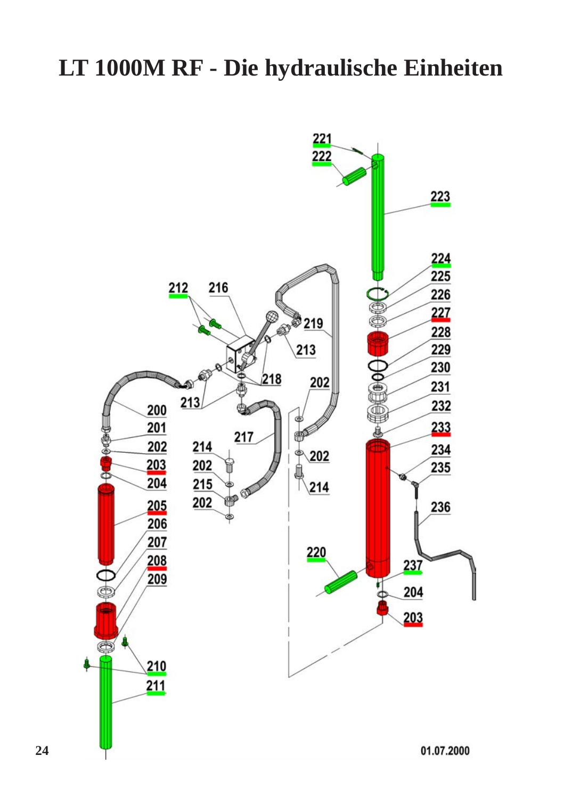## **LT 1000M RF - Die hydraulische Einheiten**



**24**